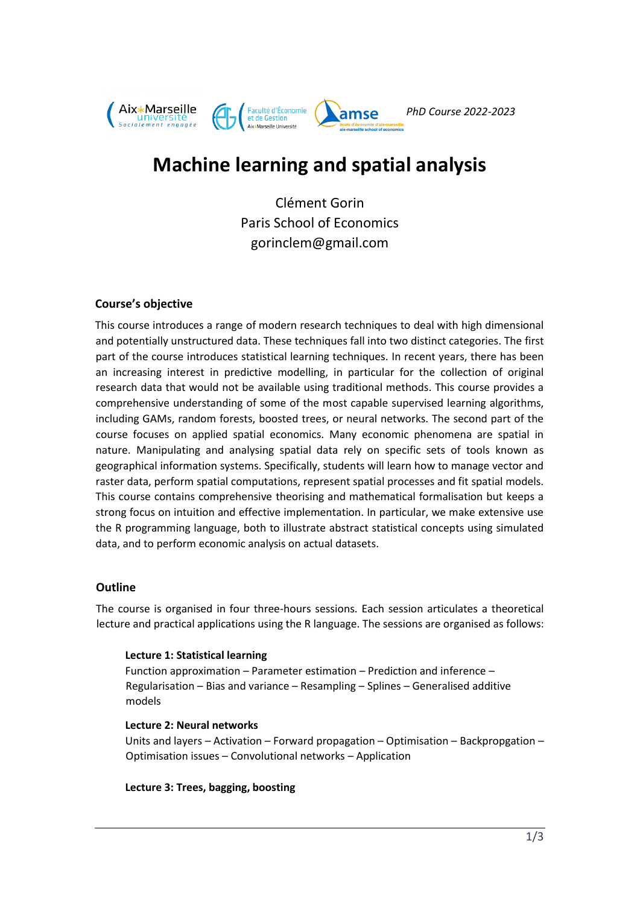

# **Machine learning and spatial analysis**

Clément Gorin Paris School of Economics gorinclem@gmail.com

## **Course's objective**

This course introduces a range of modern research techniques to deal with high dimensional and potentially unstructured data. These techniques fall into two distinct categories. The first part of the course introduces statistical learning techniques. In recent years, there has been an increasing interest in predictive modelling, in particular for the collection of original research data that would not be available using traditional methods. This course provides a comprehensive understanding of some of the most capable supervised learning algorithms, including GAMs, random forests, boosted trees, or neural networks. The second part of the course focuses on applied spatial economics. Many economic phenomena are spatial in nature. Manipulating and analysing spatial data rely on specific sets of tools known as geographical information systems. Specifically, students will learn how to manage vector and raster data, perform spatial computations, represent spatial processes and fit spatial models. This course contains comprehensive theorising and mathematical formalisation but keeps a strong focus on intuition and effective implementation. In particular, we make extensive use the R programming language, both to illustrate abstract statistical concepts using simulated data, and to perform economic analysis on actual datasets.

#### **Outline**

The course is organised in four three-hours sessions. Each session articulates a theoretical lecture and practical applications using the R language. The sessions are organised as follows:

#### **Lecture 1: Statistical learning**

Function approximation – Parameter estimation – Prediction and inference – Regularisation – Bias and variance – Resampling – Splines – Generalised additive models

#### **Lecture 2: Neural networks**

Units and layers – Activation – Forward propagation – Optimisation – Backpropgation – Optimisation issues – Convolutional networks – Application

**Lecture 3: Trees, bagging, boosting**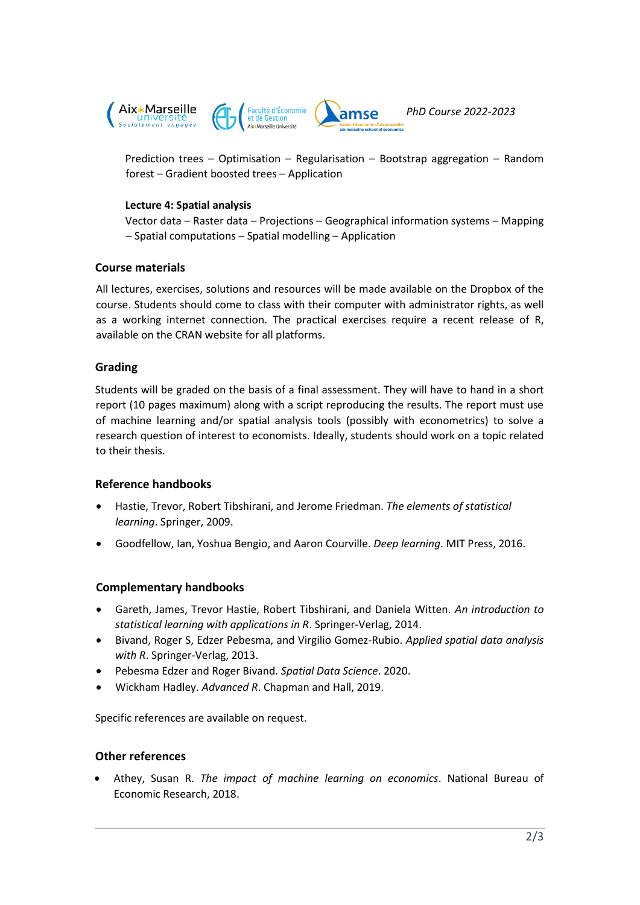

Prediction trees – Optimisation – Regularisation – Bootstrap aggregation – Random forest – Gradient boosted trees – Application

#### **Lecture 4: Spatial analysis**

Vector data – Raster data – Projections – Geographical information systems – Mapping – Spatial computations – Spatial modelling – Application

## **Course materials**

All lectures, exercises, solutions and resources will be made available on the Dropbox of the course. Students should come to class with their computer with administrator rights, as well as a working internet connection. The practical exercises require a recent release of R, available on the CRAN website for all platforms.

# **Grading**

Students will be graded on the basis of a final assessment. They will have to hand in a short report (10 pages maximum) along with a script reproducing the results. The report must use of machine learning and/or spatial analysis tools (possibly with econometrics) to solve a research question of interest to economists. Ideally, students should work on a topic related to their thesis.

## **Reference handbooks**

- Hastie, Trevor, Robert Tibshirani, and Jerome Friedman. *The elements of statistical learning*. Springer, 2009.
- Goodfellow, Ian, Yoshua Bengio, and Aaron Courville. *Deep learning*. MIT Press, 2016.

## **Complementary handbooks**

- Gareth, James, Trevor Hastie, Robert Tibshirani, and Daniela Witten. *An introduction to statistical learning with applications in R*. Springer-Verlag, 2014.
- Bivand, Roger S, Edzer Pebesma, and Virgilio Gomez-Rubio. *Applied spatial data analysis with R*. Springer-Verlag, 2013.
- Pebesma Edzer and Roger Bivand*. Spatial Data Science*. 2020.
- Wickham Hadley. *Advanced R*. Chapman and Hall, 2019.

Specific references are available on request.

## **Other references**

• Athey, Susan R. *The impact of machine learning on economics*. National Bureau of Economic Research, 2018.